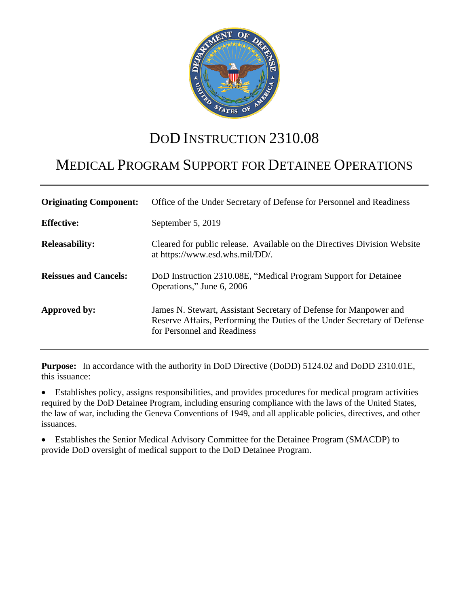

# DOD INSTRUCTION 2310.08

# MEDICAL PROGRAM SUPPORT FOR DETAINEE OPERATIONS

| <b>Originating Component:</b> | Office of the Under Secretary of Defense for Personnel and Readiness                                                                                                         |
|-------------------------------|------------------------------------------------------------------------------------------------------------------------------------------------------------------------------|
| <b>Effective:</b>             | September 5, 2019                                                                                                                                                            |
| <b>Releasability:</b>         | Cleared for public release. Available on the Directives Division Website<br>at https://www.esd.whs.mil/DD/.                                                                  |
| <b>Reissues and Cancels:</b>  | DoD Instruction 2310.08E, "Medical Program Support for Detainee<br>Operations," June 6, 2006                                                                                 |
| Approved by:                  | James N. Stewart, Assistant Secretary of Defense for Manpower and<br>Reserve Affairs, Performing the Duties of the Under Secretary of Defense<br>for Personnel and Readiness |

**Purpose:** In accordance with the authority in DoD Directive (DoDD) 5124.02 and DoDD 2310.01E, this issuance:

 Establishes policy, assigns responsibilities, and provides procedures for medical program activities required by the DoD Detainee Program, including ensuring compliance with the laws of the United States, the law of war, including the Geneva Conventions of 1949, and all applicable policies, directives, and other issuances.

 Establishes the Senior Medical Advisory Committee for the Detainee Program (SMACDP) to provide DoD oversight of medical support to the DoD Detainee Program.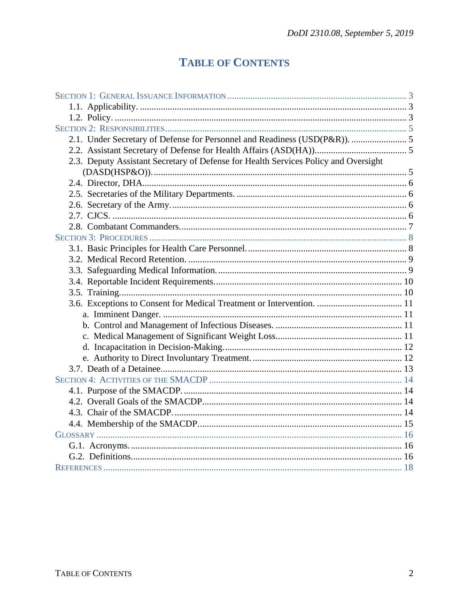# **TABLE OF CONTENTS**

| 2.3. Deputy Assistant Secretary of Defense for Health Services Policy and Oversight |  |
|-------------------------------------------------------------------------------------|--|
|                                                                                     |  |
|                                                                                     |  |
|                                                                                     |  |
|                                                                                     |  |
|                                                                                     |  |
|                                                                                     |  |
|                                                                                     |  |
|                                                                                     |  |
|                                                                                     |  |
|                                                                                     |  |
|                                                                                     |  |
|                                                                                     |  |
| 3.6. Exceptions to Consent for Medical Treatment or Intervention.  11               |  |
|                                                                                     |  |
|                                                                                     |  |
|                                                                                     |  |
|                                                                                     |  |
|                                                                                     |  |
|                                                                                     |  |
|                                                                                     |  |
|                                                                                     |  |
|                                                                                     |  |
|                                                                                     |  |
|                                                                                     |  |
|                                                                                     |  |
|                                                                                     |  |
|                                                                                     |  |
|                                                                                     |  |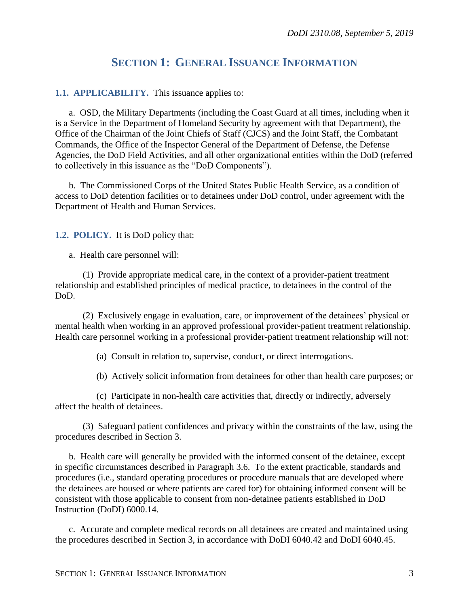## **SECTION 1: GENERAL ISSUANCE INFORMATION**

#### **1.1. APPLICABILITY.** This issuance applies to:

a. OSD, the Military Departments (including the Coast Guard at all times, including when it is a Service in the Department of Homeland Security by agreement with that Department), the Office of the Chairman of the Joint Chiefs of Staff (CJCS) and the Joint Staff, the Combatant Commands, the Office of the Inspector General of the Department of Defense, the Defense Agencies, the DoD Field Activities, and all other organizational entities within the DoD (referred to collectively in this issuance as the "DoD Components").

b. The Commissioned Corps of the United States Public Health Service, as a condition of access to DoD detention facilities or to detainees under DoD control, under agreement with the Department of Health and Human Services.

#### **1.2. POLICY.** It is DoD policy that:

a. Health care personnel will:

(1) Provide appropriate medical care, in the context of a provider-patient treatment relationship and established principles of medical practice, to detainees in the control of the DoD.

(2) Exclusively engage in evaluation, care, or improvement of the detainees' physical or mental health when working in an approved professional provider-patient treatment relationship. Health care personnel working in a professional provider-patient treatment relationship will not:

(a) Consult in relation to, supervise, conduct, or direct interrogations.

(b) Actively solicit information from detainees for other than health care purposes; or

(c) Participate in non-health care activities that, directly or indirectly, adversely affect the health of detainees.

(3) Safeguard patient confidences and privacy within the constraints of the law, using the procedures described in Section 3.

b. Health care will generally be provided with the informed consent of the detainee, except in specific circumstances described in Paragraph 3.6. To the extent practicable, standards and procedures (i.e., standard operating procedures or procedure manuals that are developed where the detainees are housed or where patients are cared for) for obtaining informed consent will be consistent with those applicable to consent from non-detainee patients established in DoD Instruction (DoDI) 6000.14.

c. Accurate and complete medical records on all detainees are created and maintained using the procedures described in Section 3, in accordance with DoDI 6040.42 and DoDI 6040.45.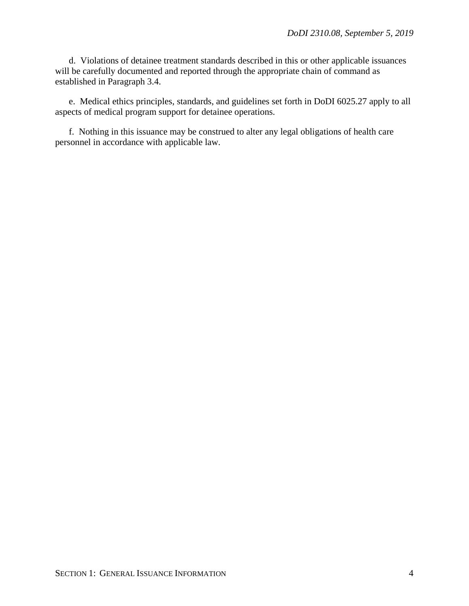d. Violations of detainee treatment standards described in this or other applicable issuances will be carefully documented and reported through the appropriate chain of command as established in Paragraph 3.4.

e. Medical ethics principles, standards, and guidelines set forth in DoDI 6025.27 apply to all aspects of medical program support for detainee operations.

f. Nothing in this issuance may be construed to alter any legal obligations of health care personnel in accordance with applicable law.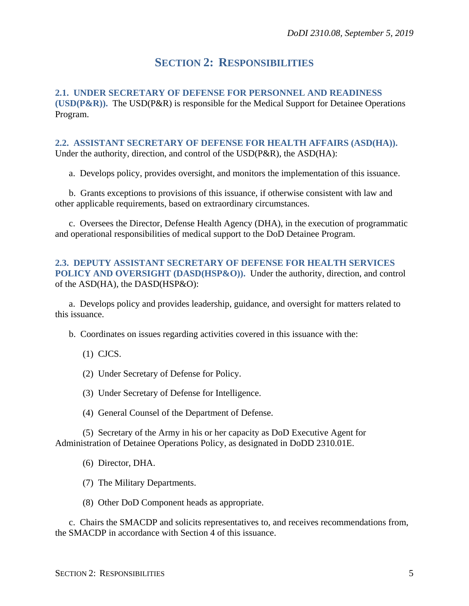## **SECTION 2: RESPONSIBILITIES**

**2.1. UNDER SECRETARY OF DEFENSE FOR PERSONNEL AND READINESS (USD(P&R)).** The USD(P&R) is responsible for the Medical Support for Detainee Operations Program.

**2.2. ASSISTANT SECRETARY OF DEFENSE FOR HEALTH AFFAIRS (ASD(HA)).** Under the authority, direction, and control of the USD(P&R), the ASD(HA):

a. Develops policy, provides oversight, and monitors the implementation of this issuance.

b. Grants exceptions to provisions of this issuance, if otherwise consistent with law and other applicable requirements, based on extraordinary circumstances.

c. Oversees the Director, Defense Health Agency (DHA), in the execution of programmatic and operational responsibilities of medical support to the DoD Detainee Program.

#### **2.3. DEPUTY ASSISTANT SECRETARY OF DEFENSE FOR HEALTH SERVICES POLICY AND OVERSIGHT (DASD(HSP&O)).** Under the authority, direction, and control of the ASD(HA), the DASD(HSP&O):

a. Develops policy and provides leadership, guidance, and oversight for matters related to this issuance.

b. Coordinates on issues regarding activities covered in this issuance with the:

(1) CJCS.

(2) Under Secretary of Defense for Policy.

(3) Under Secretary of Defense for Intelligence.

(4) General Counsel of the Department of Defense.

(5) Secretary of the Army in his or her capacity as DoD Executive Agent for Administration of Detainee Operations Policy, as designated in DoDD 2310.01E.

(6) Director, DHA.

(7) The Military Departments.

(8) Other DoD Component heads as appropriate.

c. Chairs the SMACDP and solicits representatives to, and receives recommendations from, the SMACDP in accordance with Section 4 of this issuance.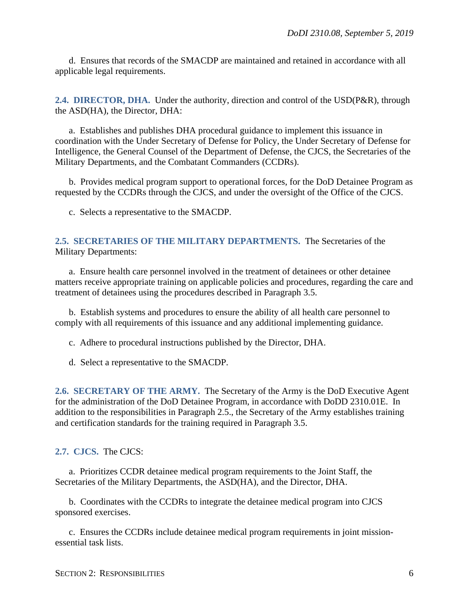d. Ensures that records of the SMACDP are maintained and retained in accordance with all applicable legal requirements.

**2.4. DIRECTOR, DHA.** Under the authority, direction and control of the USD(P&R), through the ASD(HA), the Director, DHA:

a. Establishes and publishes DHA procedural guidance to implement this issuance in coordination with the Under Secretary of Defense for Policy, the Under Secretary of Defense for Intelligence, the General Counsel of the Department of Defense, the CJCS, the Secretaries of the Military Departments, and the Combatant Commanders (CCDRs).

b. Provides medical program support to operational forces, for the DoD Detainee Program as requested by the CCDRs through the CJCS, and under the oversight of the Office of the CJCS.

c. Selects a representative to the SMACDP.

### **2.5. SECRETARIES OF THE MILITARY DEPARTMENTS.** The Secretaries of the Military Departments:

a. Ensure health care personnel involved in the treatment of detainees or other detainee matters receive appropriate training on applicable policies and procedures, regarding the care and treatment of detainees using the procedures described in Paragraph 3.5.

b. Establish systems and procedures to ensure the ability of all health care personnel to comply with all requirements of this issuance and any additional implementing guidance.

c. Adhere to procedural instructions published by the Director, DHA.

d. Select a representative to the SMACDP.

**2.6. SECRETARY OF THE ARMY.** The Secretary of the Army is the DoD Executive Agent for the administration of the DoD Detainee Program, in accordance with DoDD 2310.01E. In addition to the responsibilities in Paragraph 2.5., the Secretary of the Army establishes training and certification standards for the training required in Paragraph 3.5.

#### **2.7. CJCS.** The CJCS:

a. Prioritizes CCDR detainee medical program requirements to the Joint Staff, the Secretaries of the Military Departments, the ASD(HA), and the Director, DHA.

b. Coordinates with the CCDRs to integrate the detainee medical program into CJCS sponsored exercises.

c. Ensures the CCDRs include detainee medical program requirements in joint missionessential task lists.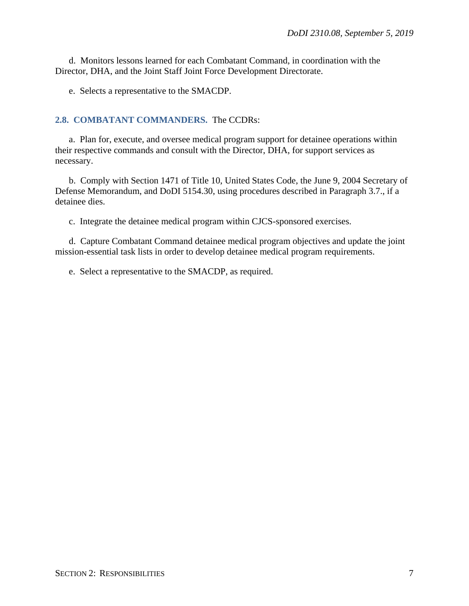d. Monitors lessons learned for each Combatant Command, in coordination with the Director, DHA, and the Joint Staff Joint Force Development Directorate.

e. Selects a representative to the SMACDP.

#### **2.8. COMBATANT COMMANDERS.** The CCDRs:

a. Plan for, execute, and oversee medical program support for detainee operations within their respective commands and consult with the Director, DHA, for support services as necessary.

b. Comply with Section 1471 of Title 10, United States Code, the June 9, 2004 Secretary of Defense Memorandum, and DoDI 5154.30, using procedures described in Paragraph 3.7., if a detainee dies.

c. Integrate the detainee medical program within CJCS-sponsored exercises.

d. Capture Combatant Command detainee medical program objectives and update the joint mission-essential task lists in order to develop detainee medical program requirements.

e. Select a representative to the SMACDP, as required.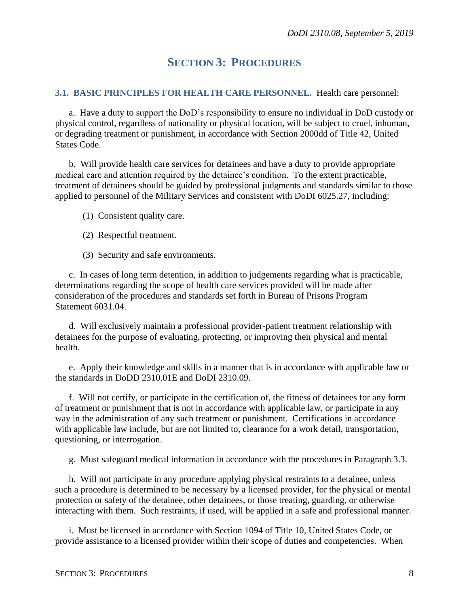# **SECTION 3: PROCEDURES**

#### **3.1. BASIC PRINCIPLES FOR HEALTH CARE PERSONNEL.** Health care personnel:

a. Have a duty to support the DoD's responsibility to ensure no individual in DoD custody or physical control, regardless of nationality or physical location, will be subject to cruel, inhuman, or degrading treatment or punishment, in accordance with Section 2000dd of Title 42, United States Code.

b. Will provide health care services for detainees and have a duty to provide appropriate medical care and attention required by the detainee's condition. To the extent practicable, treatment of detainees should be guided by professional judgments and standards similar to those applied to personnel of the Military Services and consistent with DoDI 6025.27, including:

- (1) Consistent quality care.
- (2) Respectful treatment.
- (3) Security and safe environments.

c. In cases of long term detention, in addition to judgements regarding what is practicable, determinations regarding the scope of health care services provided will be made after consideration of the procedures and standards set forth in Bureau of Prisons Program Statement 6031.04.

d. Will exclusively maintain a professional provider-patient treatment relationship with detainees for the purpose of evaluating, protecting, or improving their physical and mental health.

e. Apply their knowledge and skills in a manner that is in accordance with applicable law or the standards in DoDD 2310.01E and DoDI 2310.09.

f. Will not certify, or participate in the certification of, the fitness of detainees for any form of treatment or punishment that is not in accordance with applicable law, or participate in any way in the administration of any such treatment or punishment. Certifications in accordance with applicable law include, but are not limited to, clearance for a work detail, transportation, questioning, or interrogation.

g. Must safeguard medical information in accordance with the procedures in Paragraph 3.3.

h. Will not participate in any procedure applying physical restraints to a detainee, unless such a procedure is determined to be necessary by a licensed provider, for the physical or mental protection or safety of the detainee, other detainees, or those treating, guarding, or otherwise interacting with them. Such restraints, if used, will be applied in a safe and professional manner.

i. Must be licensed in accordance with Section 1094 of Title 10, United States Code, or provide assistance to a licensed provider within their scope of duties and competencies. When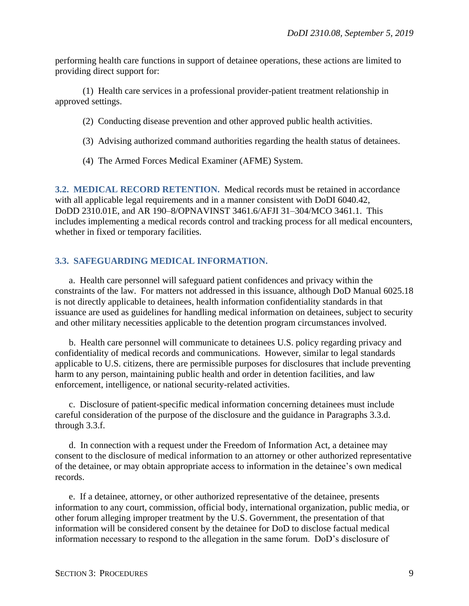performing health care functions in support of detainee operations, these actions are limited to providing direct support for:

(1) Health care services in a professional provider-patient treatment relationship in approved settings.

- (2) Conducting disease prevention and other approved public health activities.
- (3) Advising authorized command authorities regarding the health status of detainees.
- (4) The Armed Forces Medical Examiner (AFME) System.

**3.2. MEDICAL RECORD RETENTION.** Medical records must be retained in accordance with all applicable legal requirements and in a manner consistent with DoDI 6040.42, DoDD 2310.01E, and AR 190–8/OPNAVINST 3461.6/AFJI 31–304/MCO 3461.1. This includes implementing a medical records control and tracking process for all medical encounters, whether in fixed or temporary facilities.

#### **3.3. SAFEGUARDING MEDICAL INFORMATION.**

a. Health care personnel will safeguard patient confidences and privacy within the constraints of the law. For matters not addressed in this issuance, although DoD Manual 6025.18 is not directly applicable to detainees, health information confidentiality standards in that issuance are used as guidelines for handling medical information on detainees, subject to security and other military necessities applicable to the detention program circumstances involved.

b. Health care personnel will communicate to detainees U.S. policy regarding privacy and confidentiality of medical records and communications. However, similar to legal standards applicable to U.S. citizens, there are permissible purposes for disclosures that include preventing harm to any person, maintaining public health and order in detention facilities, and law enforcement, intelligence, or national security-related activities.

c. Disclosure of patient-specific medical information concerning detainees must include careful consideration of the purpose of the disclosure and the guidance in Paragraphs 3.3.d. through 3.3.f.

d. In connection with a request under the Freedom of Information Act, a detainee may consent to the disclosure of medical information to an attorney or other authorized representative of the detainee, or may obtain appropriate access to information in the detainee's own medical records.

e. If a detainee, attorney, or other authorized representative of the detainee, presents information to any court, commission, official body, international organization, public media, or other forum alleging improper treatment by the U.S. Government, the presentation of that information will be considered consent by the detainee for DoD to disclose factual medical information necessary to respond to the allegation in the same forum. DoD's disclosure of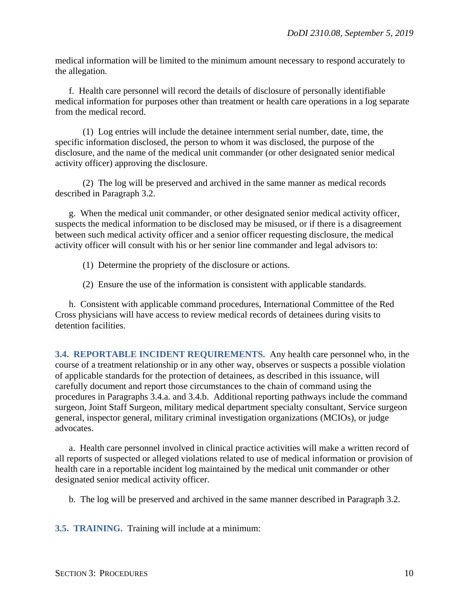medical information will be limited to the minimum amount necessary to respond accurately to the allegation.

f. Health care personnel will record the details of disclosure of personally identifiable medical information for purposes other than treatment or health care operations in a log separate from the medical record.

(1) Log entries will include the detainee internment serial number, date, time, the specific information disclosed, the person to whom it was disclosed, the purpose of the disclosure, and the name of the medical unit commander (or other designated senior medical activity officer) approving the disclosure.

(2) The log will be preserved and archived in the same manner as medical records described in Paragraph 3.2.

g. When the medical unit commander, or other designated senior medical activity officer, suspects the medical information to be disclosed may be misused, or if there is a disagreement between such medical activity officer and a senior officer requesting disclosure, the medical activity officer will consult with his or her senior line commander and legal advisors to:

- (1) Determine the propriety of the disclosure or actions.
- (2) Ensure the use of the information is consistent with applicable standards.

h. Consistent with applicable command procedures, International Committee of the Red Cross physicians will have access to review medical records of detainees during visits to detention facilities.

**3.4. REPORTABLE INCIDENT REQUIREMENTS.** Any health care personnel who, in the course of a treatment relationship or in any other way, observes or suspects a possible violation of applicable standards for the protection of detainees, as described in this issuance, will carefully document and report those circumstances to the chain of command using the procedures in Paragraphs 3.4.a. and 3.4.b. Additional reporting pathways include the command surgeon, Joint Staff Surgeon, military medical department specialty consultant, Service surgeon general, inspector general, military criminal investigation organizations (MCIOs), or judge advocates.

a. Health care personnel involved in clinical practice activities will make a written record of all reports of suspected or alleged violations related to use of medical information or provision of health care in a reportable incident log maintained by the medical unit commander or other designated senior medical activity officer.

b. The log will be preserved and archived in the same manner described in Paragraph 3.2.

**3.5. TRAINING.** Training will include at a minimum: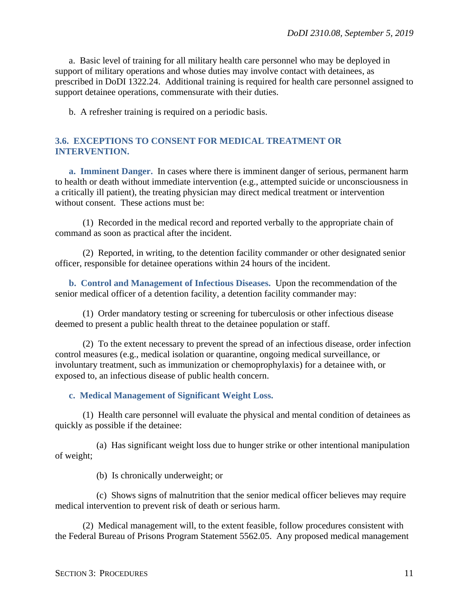a. Basic level of training for all military health care personnel who may be deployed in support of military operations and whose duties may involve contact with detainees, as prescribed in DoDI 1322.24. Additional training is required for health care personnel assigned to support detainee operations, commensurate with their duties.

b. A refresher training is required on a periodic basis.

#### **3.6. EXCEPTIONS TO CONSENT FOR MEDICAL TREATMENT OR INTERVENTION.**

**a. Imminent Danger.** In cases where there is imminent danger of serious, permanent harm to health or death without immediate intervention (e.g., attempted suicide or unconsciousness in a critically ill patient), the treating physician may direct medical treatment or intervention without consent. These actions must be:

(1) Recorded in the medical record and reported verbally to the appropriate chain of command as soon as practical after the incident.

(2) Reported, in writing, to the detention facility commander or other designated senior officer, responsible for detainee operations within 24 hours of the incident.

**b. Control and Management of Infectious Diseases.** Upon the recommendation of the senior medical officer of a detention facility, a detention facility commander may:

(1) Order mandatory testing or screening for tuberculosis or other infectious disease deemed to present a public health threat to the detainee population or staff.

(2) To the extent necessary to prevent the spread of an infectious disease, order infection control measures (e.g., medical isolation or quarantine, ongoing medical surveillance, or involuntary treatment, such as immunization or chemoprophylaxis) for a detainee with, or exposed to, an infectious disease of public health concern.

#### **c. Medical Management of Significant Weight Loss.**

(1) Health care personnel will evaluate the physical and mental condition of detainees as quickly as possible if the detainee:

(a) Has significant weight loss due to hunger strike or other intentional manipulation of weight;

(b) Is chronically underweight; or

(c) Shows signs of malnutrition that the senior medical officer believes may require medical intervention to prevent risk of death or serious harm.

(2) Medical management will, to the extent feasible, follow procedures consistent with the Federal Bureau of Prisons Program Statement 5562.05. Any proposed medical management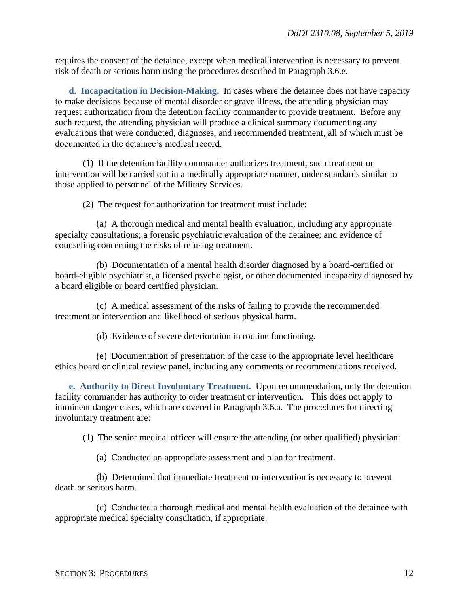requires the consent of the detainee, except when medical intervention is necessary to prevent risk of death or serious harm using the procedures described in Paragraph 3.6.e.

**d. Incapacitation in Decision-Making.** In cases where the detainee does not have capacity to make decisions because of mental disorder or grave illness, the attending physician may request authorization from the detention facility commander to provide treatment. Before any such request, the attending physician will produce a clinical summary documenting any evaluations that were conducted, diagnoses, and recommended treatment, all of which must be documented in the detainee's medical record.

(1) If the detention facility commander authorizes treatment, such treatment or intervention will be carried out in a medically appropriate manner, under standards similar to those applied to personnel of the Military Services.

(2) The request for authorization for treatment must include:

(a) A thorough medical and mental health evaluation, including any appropriate specialty consultations; a forensic psychiatric evaluation of the detainee; and evidence of counseling concerning the risks of refusing treatment.

(b) Documentation of a mental health disorder diagnosed by a board-certified or board-eligible psychiatrist, a licensed psychologist, or other documented incapacity diagnosed by a board eligible or board certified physician.

(c) A medical assessment of the risks of failing to provide the recommended treatment or intervention and likelihood of serious physical harm.

(d) Evidence of severe deterioration in routine functioning.

(e) Documentation of presentation of the case to the appropriate level healthcare ethics board or clinical review panel, including any comments or recommendations received.

**e. Authority to Direct Involuntary Treatment.** Upon recommendation, only the detention facility commander has authority to order treatment or intervention. This does not apply to imminent danger cases, which are covered in Paragraph 3.6.a. The procedures for directing involuntary treatment are:

(1) The senior medical officer will ensure the attending (or other qualified) physician:

(a) Conducted an appropriate assessment and plan for treatment.

(b) Determined that immediate treatment or intervention is necessary to prevent death or serious harm.

(c) Conducted a thorough medical and mental health evaluation of the detainee with appropriate medical specialty consultation, if appropriate.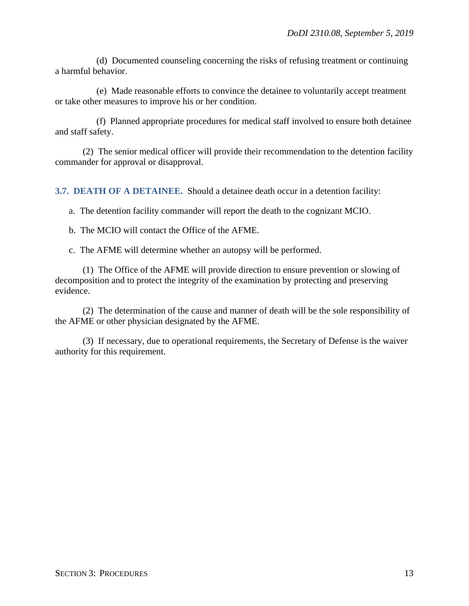(d) Documented counseling concerning the risks of refusing treatment or continuing a harmful behavior.

(e) Made reasonable efforts to convince the detainee to voluntarily accept treatment or take other measures to improve his or her condition.

(f) Planned appropriate procedures for medical staff involved to ensure both detainee and staff safety.

(2) The senior medical officer will provide their recommendation to the detention facility commander for approval or disapproval.

**3.7. DEATH OF A DETAINEE.** Should a detainee death occur in a detention facility:

a. The detention facility commander will report the death to the cognizant MCIO.

b. The MCIO will contact the Office of the AFME.

c. The AFME will determine whether an autopsy will be performed.

(1) The Office of the AFME will provide direction to ensure prevention or slowing of decomposition and to protect the integrity of the examination by protecting and preserving evidence.

(2) The determination of the cause and manner of death will be the sole responsibility of the AFME or other physician designated by the AFME.

(3) If necessary, due to operational requirements, the Secretary of Defense is the waiver authority for this requirement.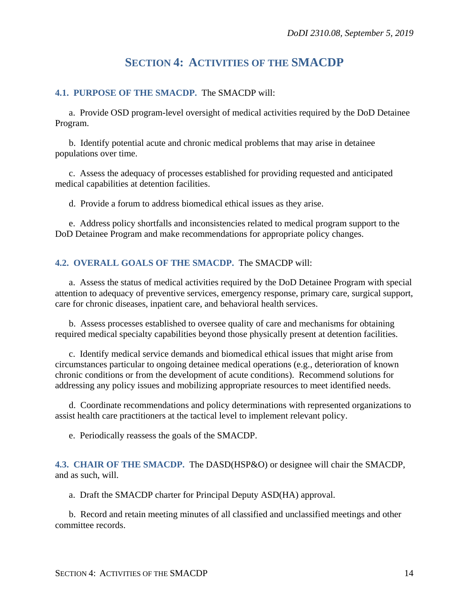# **SECTION 4: ACTIVITIES OF THE SMACDP**

### **4.1. PURPOSE OF THE SMACDP.** The SMACDP will:

a. Provide OSD program-level oversight of medical activities required by the DoD Detainee Program.

b. Identify potential acute and chronic medical problems that may arise in detainee populations over time.

c. Assess the adequacy of processes established for providing requested and anticipated medical capabilities at detention facilities.

d. Provide a forum to address biomedical ethical issues as they arise.

e. Address policy shortfalls and inconsistencies related to medical program support to the DoD Detainee Program and make recommendations for appropriate policy changes.

#### **4.2. OVERALL GOALS OF THE SMACDP.** The SMACDP will:

a. Assess the status of medical activities required by the DoD Detainee Program with special attention to adequacy of preventive services, emergency response, primary care, surgical support, care for chronic diseases, inpatient care, and behavioral health services.

b. Assess processes established to oversee quality of care and mechanisms for obtaining required medical specialty capabilities beyond those physically present at detention facilities.

c. Identify medical service demands and biomedical ethical issues that might arise from circumstances particular to ongoing detainee medical operations (e.g., deterioration of known chronic conditions or from the development of acute conditions). Recommend solutions for addressing any policy issues and mobilizing appropriate resources to meet identified needs.

d. Coordinate recommendations and policy determinations with represented organizations to assist health care practitioners at the tactical level to implement relevant policy.

e. Periodically reassess the goals of the SMACDP.

**4.3. CHAIR OF THE SMACDP.** The DASD(HSP&O) or designee will chair the SMACDP, and as such, will.

a. Draft the SMACDP charter for Principal Deputy ASD(HA) approval.

b. Record and retain meeting minutes of all classified and unclassified meetings and other committee records.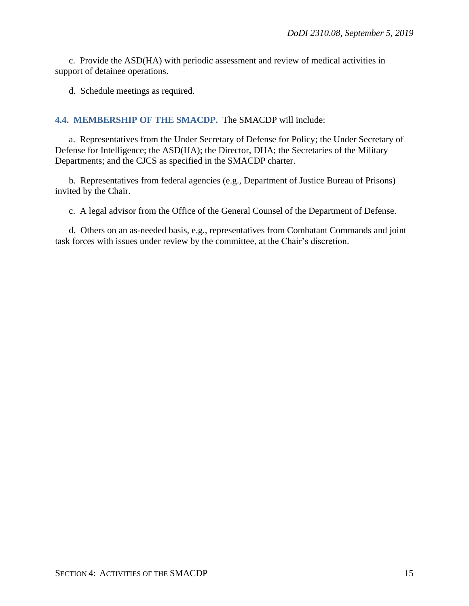c. Provide the ASD(HA) with periodic assessment and review of medical activities in support of detainee operations.

d. Schedule meetings as required.

#### **4.4. MEMBERSHIP OF THE SMACDP.** The SMACDP will include:

a. Representatives from the Under Secretary of Defense for Policy; the Under Secretary of Defense for Intelligence; the ASD(HA); the Director, DHA; the Secretaries of the Military Departments; and the CJCS as specified in the SMACDP charter.

b. Representatives from federal agencies (e.g., Department of Justice Bureau of Prisons) invited by the Chair.

c. A legal advisor from the Office of the General Counsel of the Department of Defense.

d. Others on an as-needed basis, e.g., representatives from Combatant Commands and joint task forces with issues under review by the committee, at the Chair's discretion.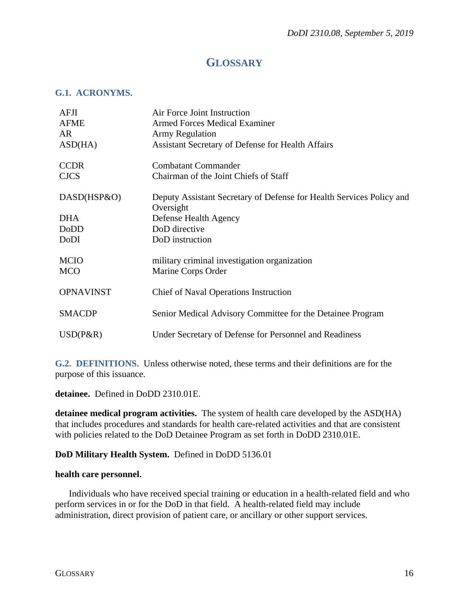## **GLOSSARY**

#### **G.1. ACRONYMS.**

| AFJI                      | Air Force Joint Instruction                                                       |
|---------------------------|-----------------------------------------------------------------------------------|
| <b>AFME</b>               | <b>Armed Forces Medical Examiner</b>                                              |
| AR.                       | Army Regulation                                                                   |
| ASD(HA)                   | Assistant Secretary of Defense for Health Affairs                                 |
| <b>CCDR</b>               | <b>Combatant Commander</b>                                                        |
| <b>CJCS</b>               | Chairman of the Joint Chiefs of Staff                                             |
| DASD(HSP&O)               | Deputy Assistant Secretary of Defense for Health Services Policy and<br>Oversight |
| <b>DHA</b>                | Defense Health Agency                                                             |
| <b>DoDD</b>               | DoD directive                                                                     |
| DoDI                      | DoD instruction                                                                   |
| <b>MCIO</b><br><b>MCO</b> | military criminal investigation organization<br>Marine Corps Order                |
| <b>OPNAVINST</b>          | <b>Chief of Naval Operations Instruction</b>                                      |
| <b>SMACDP</b>             | Senior Medical Advisory Committee for the Detainee Program                        |
| $USD(P\&R)$               | Under Secretary of Defense for Personnel and Readiness                            |

**G.2. DEFINITIONS.** Unless otherwise noted, these terms and their definitions are for the purpose of this issuance.

**detainee.** Defined in DoDD 2310.01E.

**detainee medical program activities.** The system of health care developed by the ASD(HA) that includes procedures and standards for health care-related activities and that are consistent with policies related to the DoD Detainee Program as set forth in DoDD 2310.01E.

### **DoD Military Health System.** Defined in DoDD 5136.01

#### **health care personnel.**

Individuals who have received special training or education in a health-related field and who perform services in or for the DoD in that field. A health-related field may include administration, direct provision of patient care, or ancillary or other support services.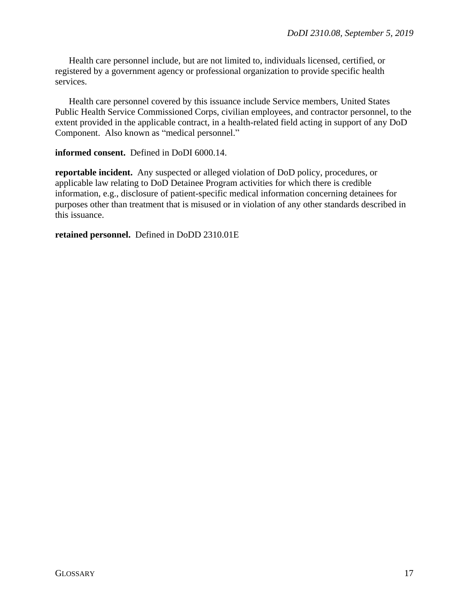Health care personnel include, but are not limited to, individuals licensed, certified, or registered by a government agency or professional organization to provide specific health services.

Health care personnel covered by this issuance include Service members, United States Public Health Service Commissioned Corps, civilian employees, and contractor personnel, to the extent provided in the applicable contract, in a health-related field acting in support of any DoD Component. Also known as "medical personnel."

#### **informed consent.** Defined in DoDI 6000.14.

**reportable incident.** Any suspected or alleged violation of DoD policy, procedures, or applicable law relating to DoD Detainee Program activities for which there is credible information, e.g., disclosure of patient-specific medical information concerning detainees for purposes other than treatment that is misused or in violation of any other standards described in this issuance.

**retained personnel.** Defined in DoDD 2310.01E